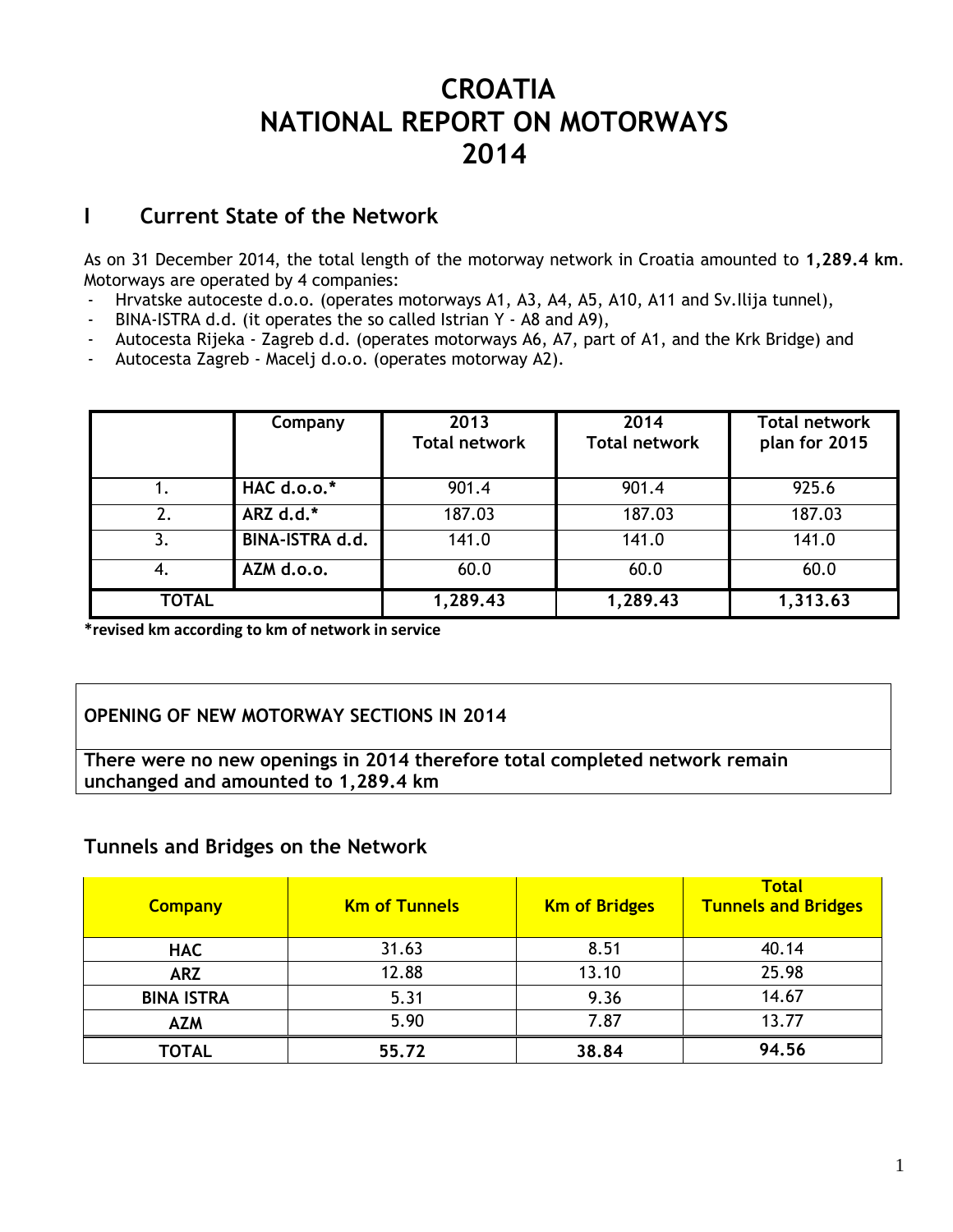# **CROATIA NATIONAL REPORT ON MOTORWAYS 2014**

## **I Current State of the Network**

As on 31 December 2014, the total length of the motorway network in Croatia amounted to **1,289.4 km**. Motorways are operated by 4 companies:

- Hrvatske autoceste d.o.o. (operates motorways A1, A3, A4, A5, A10, A11 and Sv. Ilija tunnel),
- BINA-ISTRA d.d. (it operates the so called Istrian Y A8 and A9),
- Autocesta Rijeka Zagreb d.d. (operates motorways A6, A7, part of A1, and the Krk Bridge) and
- Autocesta Zagreb Macelj d.o.o. (operates motorway A2).

|              | Company         | 2013<br><b>Total network</b> | 2014<br><b>Total network</b> | <b>Total network</b><br>plan for 2015 |
|--------------|-----------------|------------------------------|------------------------------|---------------------------------------|
|              | HAC d.o.o.*     | 901.4                        | 901.4                        | 925.6                                 |
| 2.           | ARZ d.d.*       | 187.03                       | 187.03                       | 187.03                                |
| 3.           | BINA-ISTRA d.d. | 141.0                        | 141.0                        | 141.0                                 |
| -4.          | AZM d.o.o.      | 60.0                         | 60.0                         | 60.0                                  |
| <b>TOTAL</b> |                 | 1,289.43                     | 1,289.43                     | 1,313.63                              |

**\*revised km according to km of network in service**

## **OPENING OF NEW MOTORWAY SECTIONS IN 2014**

**There were no new openings in 2014 therefore total completed network remain unchanged and amounted to 1,289.4 km**

## **Tunnels and Bridges on the Network**

| <b>Km of Tunnels</b><br><b>Company</b> |       | <b>Km of Bridges</b> | <b>Total</b><br><b>Tunnels and Bridges</b> |
|----------------------------------------|-------|----------------------|--------------------------------------------|
| <b>HAC</b>                             | 31.63 | 8.51                 | 40.14                                      |
| <b>ARZ</b>                             | 12.88 | 13.10                | 25.98                                      |
| <b>BINA ISTRA</b>                      | 5.31  | 9.36                 | 14.67                                      |
| <b>AZM</b>                             | 5.90  | 7.87                 | 13.77                                      |
| <b>TOTAL</b>                           | 55.72 | 38.84                | 94.56                                      |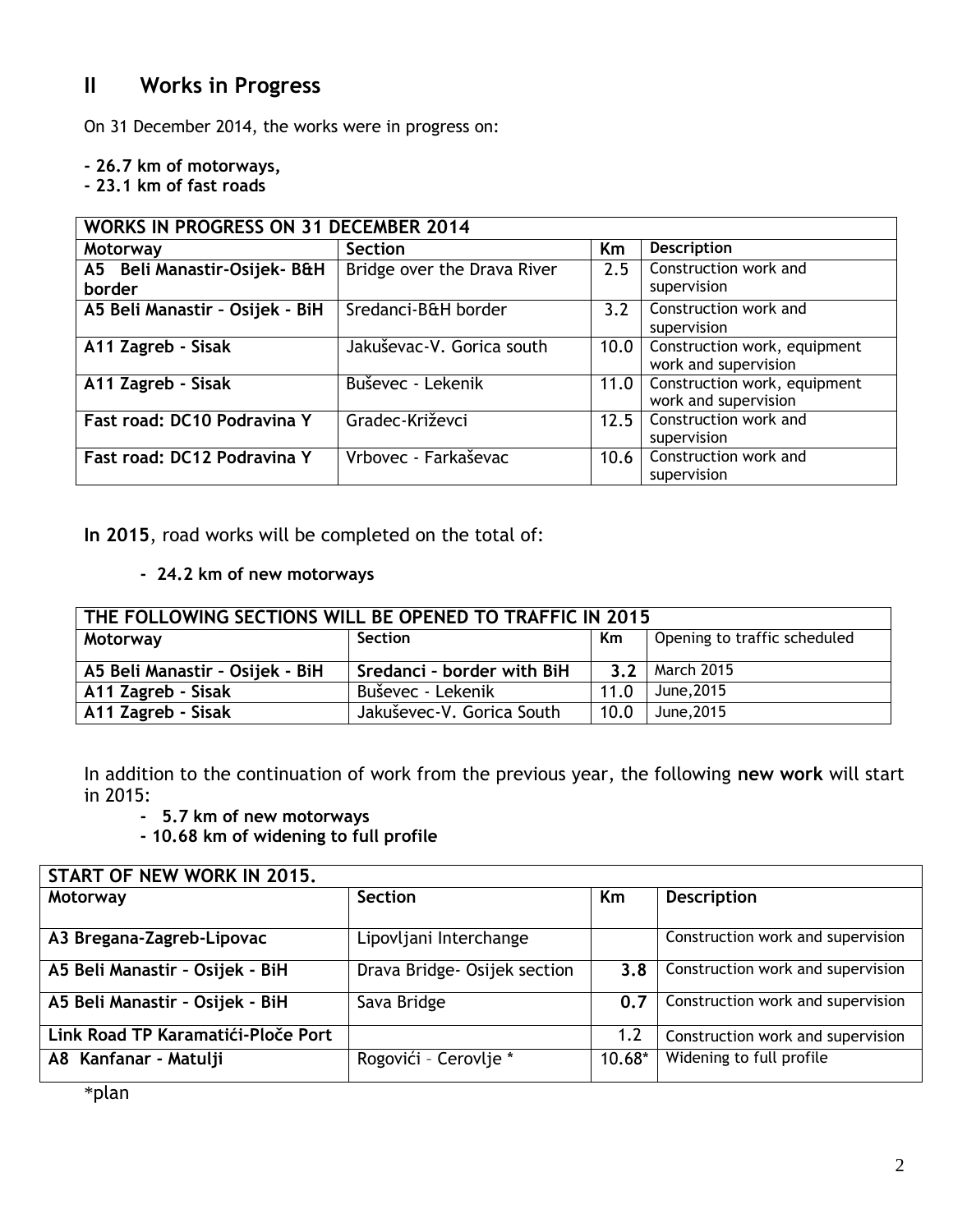## **II Works in Progress**

On 31 December 2014, the works were in progress on:

**- 26.7 km of motorways,**

**- 23.1 km of fast roads**

|                                        | <b>WORKS IN PROGRESS ON 31 DECEMBER 2014</b> |      |                                                      |  |  |  |  |
|----------------------------------------|----------------------------------------------|------|------------------------------------------------------|--|--|--|--|
| Motorway                               | <b>Section</b>                               | Km   | <b>Description</b>                                   |  |  |  |  |
| A5 Beli Manastir-Osijek- B&H<br>border | Bridge over the Drava River                  | 2.5  | Construction work and<br>supervision                 |  |  |  |  |
| A5 Beli Manastir - Osijek - BiH        | Sredanci-B&H border                          | 3.2  | Construction work and<br>supervision                 |  |  |  |  |
| A11 Zagreb - Sisak                     | Jakuševac-V. Gorica south                    | 10.0 | Construction work, equipment<br>work and supervision |  |  |  |  |
| A11 Zagreb - Sisak                     | Buševec - Lekenik                            | 11.0 | Construction work, equipment<br>work and supervision |  |  |  |  |
| Fast road: DC10 Podravina Y            | Gradec-Križevci                              | 12.5 | Construction work and<br>supervision                 |  |  |  |  |
| Fast road: DC12 Podravina Y            | Vrbovec - Farkaševac                         | 10.6 | Construction work and<br>supervision                 |  |  |  |  |

**In 2015**, road works will be completed on the total of:

**- 24.2 km of new motorways**

| THE FOLLOWING SECTIONS WILL BE OPENED TO TRAFFIC IN 2015  |                            |      |            |  |  |  |
|-----------------------------------------------------------|----------------------------|------|------------|--|--|--|
| Opening to traffic scheduled<br>Section<br>Km<br>Motorway |                            |      |            |  |  |  |
| A5 Beli Manastir - Osijek - BiH                           | Sredanci - border with BiH | 3.2  | March 2015 |  |  |  |
| A11 Zagreb - Sisak                                        | Buševec - Lekenik          | 11.0 | June, 2015 |  |  |  |
| A11 Zagreb - Sisak                                        | Jakuševec-V. Gorica South  | 10.0 | June, 2015 |  |  |  |

In addition to the continuation of work from the previous year, the following **new work** will start in 2015:

**- 5.7 km of new motorways**

**- 10.68 km of widening to full profile**

| START OF NEW WORK IN 2015.         |                              |          |                                   |  |  |  |
|------------------------------------|------------------------------|----------|-----------------------------------|--|--|--|
| Motorway                           | <b>Section</b>               | Km       | <b>Description</b>                |  |  |  |
|                                    |                              |          |                                   |  |  |  |
| A3 Bregana-Zagreb-Lipovac          | Lipovljani Interchange       |          | Construction work and supervision |  |  |  |
| A5 Beli Manastir - Osijek - BiH    | Drava Bridge- Osijek section | 3.8      | Construction work and supervision |  |  |  |
| A5 Beli Manastir - Osijek - BiH    | Sava Bridge                  | 0.7      | Construction work and supervision |  |  |  |
| Link Road TP Karamatići-Ploče Port |                              | 1.2      | Construction work and supervision |  |  |  |
| A8 Kanfanar - Matulji              | Rogovići - Cerovlje *        | $10.68*$ | Widening to full profile          |  |  |  |
|                                    |                              |          |                                   |  |  |  |

\*plan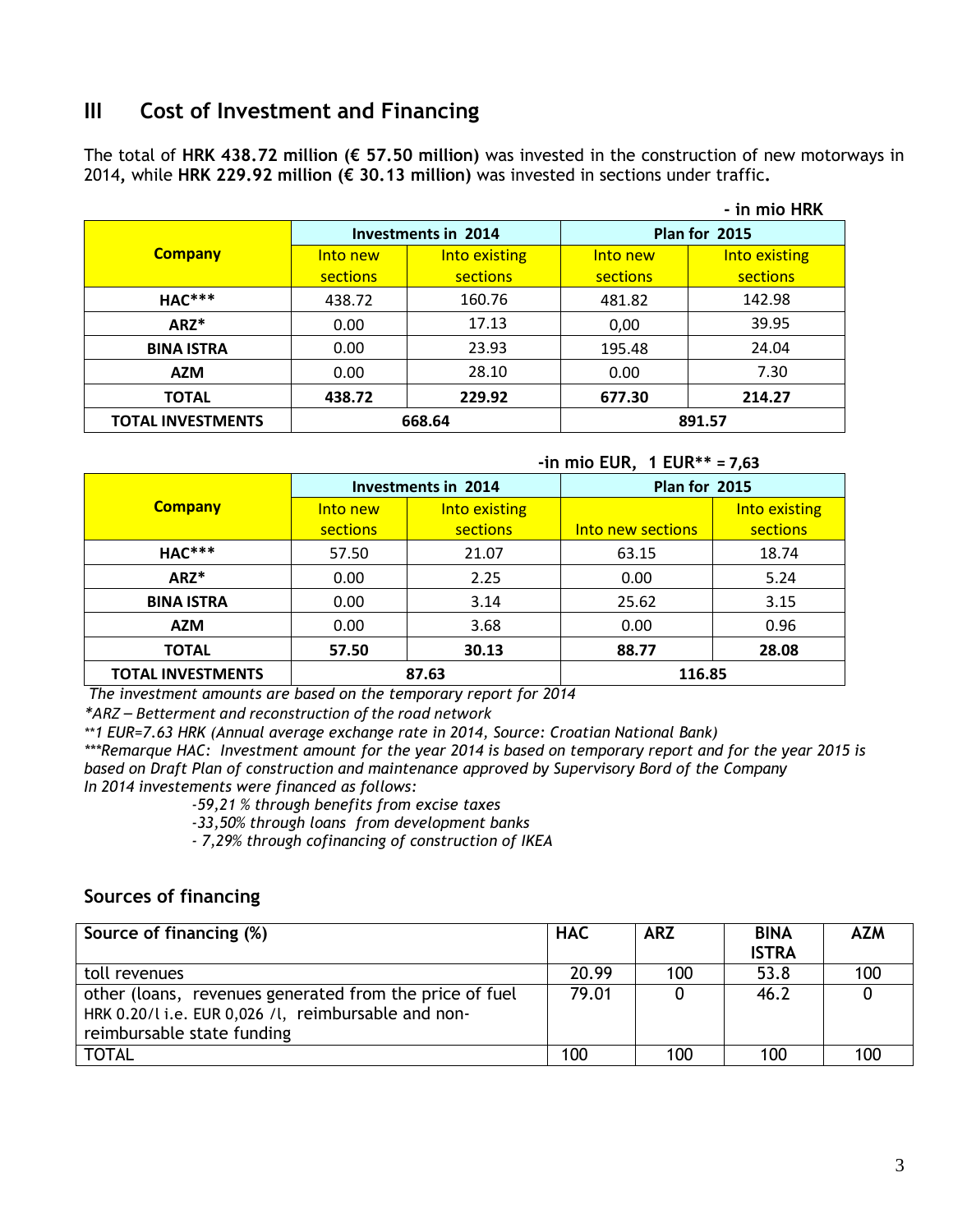## **III Cost of Investment and Financing**

The total of **HRK 438.72 million (€ 57.50 million)** was invested in the construction of new motorways in 2014**,** while **HRK 229.92 million (€ 30.13 million)** was invested in sections under traffic**.**

|                          |                  |                            |                 | - in mio HRK           |  |  |
|--------------------------|------------------|----------------------------|-----------------|------------------------|--|--|
|                          |                  | <b>Investments in 2014</b> |                 | Plan for 2015          |  |  |
| <b>Company</b>           | Into new         | Into existing              | Into new        | <b>Into existing</b>   |  |  |
|                          | sections         | sections                   | <b>sections</b> | sections               |  |  |
| <b>HAC***</b>            | 438.72           | 160.76                     | 481.82          | 142.98                 |  |  |
| ARZ*                     | 0.00             | 17.13                      | 0,00            | 39.95<br>24.04<br>7.30 |  |  |
| <b>BINA ISTRA</b>        | 0.00             | 23.93                      | 195.48          |                        |  |  |
| <b>AZM</b>               | 0.00             | 28.10                      | 0.00            |                        |  |  |
| <b>TOTAL</b>             | 229.92<br>438.72 |                            | 677.30          | 214.27                 |  |  |
| <b>TOTAL INVESTMENTS</b> | 668.64           |                            |                 | 891.57                 |  |  |

#### **-in mio EUR, 1 EUR\*\* = 7,63**

|                          |                 | <b>Investments in 2014</b> | Plan for 2015     |               |
|--------------------------|-----------------|----------------------------|-------------------|---------------|
| <b>Company</b>           | Into new        | Into existing              |                   | Into existing |
|                          | <b>sections</b> | sections                   | Into new sections | sections      |
| <b>HAC***</b>            | 57.50           | 21.07                      | 63.15             | 18.74         |
| $ARZ^*$                  | 0.00            | 2.25                       | 0.00              | 5.24          |
| <b>BINA ISTRA</b>        | 0.00            | 3.14                       | 25.62             | 3.15          |
| <b>AZM</b>               | 0.00            | 3.68                       | 0.00              | 0.96          |
| <b>TOTAL</b>             | 57.50           | 30.13                      | 88.77             | 28.08         |
| <b>TOTAL INVESTMENTS</b> | 87.63           |                            | 116.85            |               |

*The investment amounts are based on the temporary report for 2014*

*\*ARZ – Betterment and reconstruction of the road network* 

*\*\*1 EUR=7.63 HRK (Annual average exchange rate in 2014, Source: Croatian National Bank)*

*\*\*\*Remarque HAC: Investment amount for the year 2014 is based on temporary report and for the year 2015 is based on Draft Plan of construction and maintenance approved by Supervisory Bord of the Company In 2014 investements were financed as follows:*

 *-59,21 % through benefits from excise taxes*

 *-33,50% through loans from development banks* 

 *- 7,29% through cofinancing of construction of IKEA*

## **Sources of financing**

| Source of financing (%)                                                                                                                      | <b>HAC</b> | <b>ARZ</b> | <b>BINA</b><br><b>ISTRA</b> | <b>AZM</b> |
|----------------------------------------------------------------------------------------------------------------------------------------------|------------|------------|-----------------------------|------------|
| toll revenues                                                                                                                                | 20.99      | 100        | 53.8                        | 100        |
| other (loans, revenues generated from the price of fuel<br>HRK 0.20/l i.e. EUR 0,026 /l, reimbursable and non-<br>reimbursable state funding | 79.01      |            | 46.2                        |            |
| <b>TOTAL</b>                                                                                                                                 | 100        | 100        | 100                         | 100        |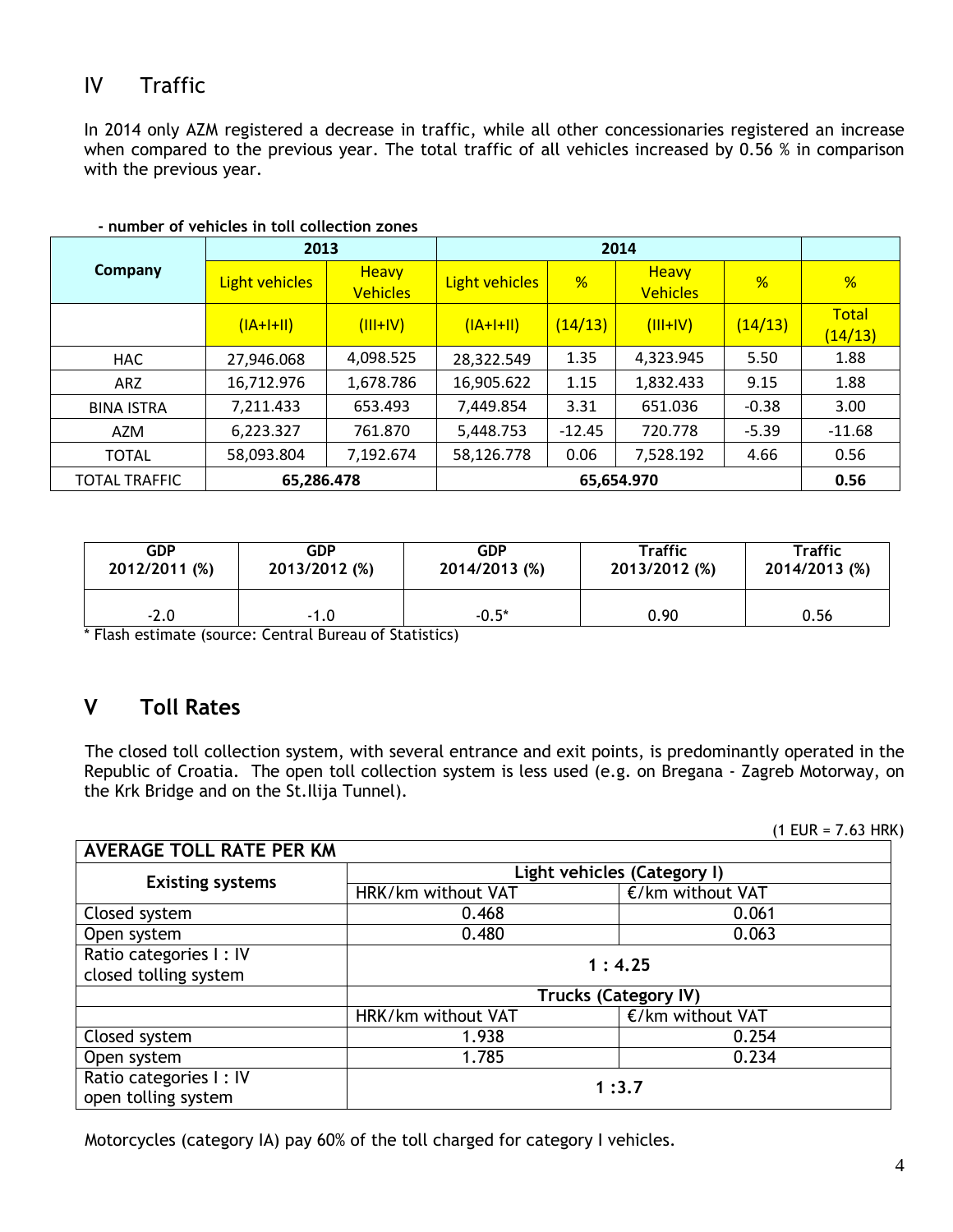## IV Traffic

In 2014 only AZM registered a decrease in traffic, while all other concessionaries registered an increase when compared to the previous year. The total traffic of all vehicles increased by 0.56 % in comparison with the previous year.

|                      | 2013                  |                                 | 2014           |          |                                 |         |                         |
|----------------------|-----------------------|---------------------------------|----------------|----------|---------------------------------|---------|-------------------------|
| Company              | <b>Light vehicles</b> | <b>Heavy</b><br><b>Vehicles</b> | Light vehicles | %        | <b>Heavy</b><br><b>Vehicles</b> | %       | %                       |
|                      | $(IA+I+II)$           | $(III+IV)$                      | $(IA+I+II)$    | (14/13)  | $(III+IV)$                      | (14/13) | <b>Total</b><br>(14/13) |
| <b>HAC</b>           | 27,946.068            | 4,098.525                       | 28,322.549     | 1.35     | 4,323.945                       | 5.50    | 1.88                    |
| ARZ                  | 16,712.976            | 1,678.786                       | 16,905.622     | 1.15     | 1,832.433                       | 9.15    | 1.88                    |
| <b>BINA ISTRA</b>    | 7,211.433             | 653.493                         | 7,449.854      | 3.31     | 651.036                         | $-0.38$ | 3.00                    |
| AZM                  | 6,223.327             | 761.870                         | 5,448.753      | $-12.45$ | 720.778                         | $-5.39$ | $-11.68$                |
| <b>TOTAL</b>         | 58,093.804            | 7,192.674                       | 58,126.778     | 0.06     | 7,528.192                       | 4.66    | 0.56                    |
| <b>TOTAL TRAFFIC</b> | 65,286.478            |                                 |                |          | 65,654.970                      |         | 0.56                    |

#### **- number of vehicles in toll collection zones**

| <b>GDP</b>    | GDP           | <b>GDP</b>    | <b>Traffic</b> | <b>Traffic</b> |
|---------------|---------------|---------------|----------------|----------------|
| 2012/2011 (%) | 2013/2012 (%) | 2014/2013 (%) | 2013/2012 (%)  | 2014/2013 (%)  |
| $-2.0$        | $-1.0$        | $-0.5*$       | 0.90           |                |

\* Flash estimate (source: Central Bureau of Statistics)

## **V Toll Rates**

The closed toll collection system, with several entrance and exit points, is predominantly operated in the Republic of Croatia. The open toll collection system is less used (e.g. on Bregana - Zagreb Motorway, on the Krk Bridge and on the St.Ilija Tunnel).

 $(1$  EUR = 7.63 HRK)

| <b>AVERAGE TOLL RATE PER KM</b>                 |                             |                             |  |  |
|-------------------------------------------------|-----------------------------|-----------------------------|--|--|
|                                                 | Light vehicles (Category I) |                             |  |  |
| <b>Existing systems</b>                         | HRK/km without VAT          | €/km without VAT            |  |  |
| Closed system                                   | 0.468                       | 0.061                       |  |  |
| Open system                                     | 0.480                       | 0.063                       |  |  |
| Ratio categories I: IV<br>closed tolling system | 1:4.25                      |                             |  |  |
|                                                 |                             | <b>Trucks (Category IV)</b> |  |  |
|                                                 | HRK/km without VAT          | €/km without VAT            |  |  |
| Closed system                                   | 1.938                       | 0.254                       |  |  |
| Open system                                     | 1.785                       | 0.234                       |  |  |
| Ratio categories I: IV<br>open tolling system   | 1:3.7                       |                             |  |  |

Motorcycles (category IA) pay 60% of the toll charged for category I vehicles.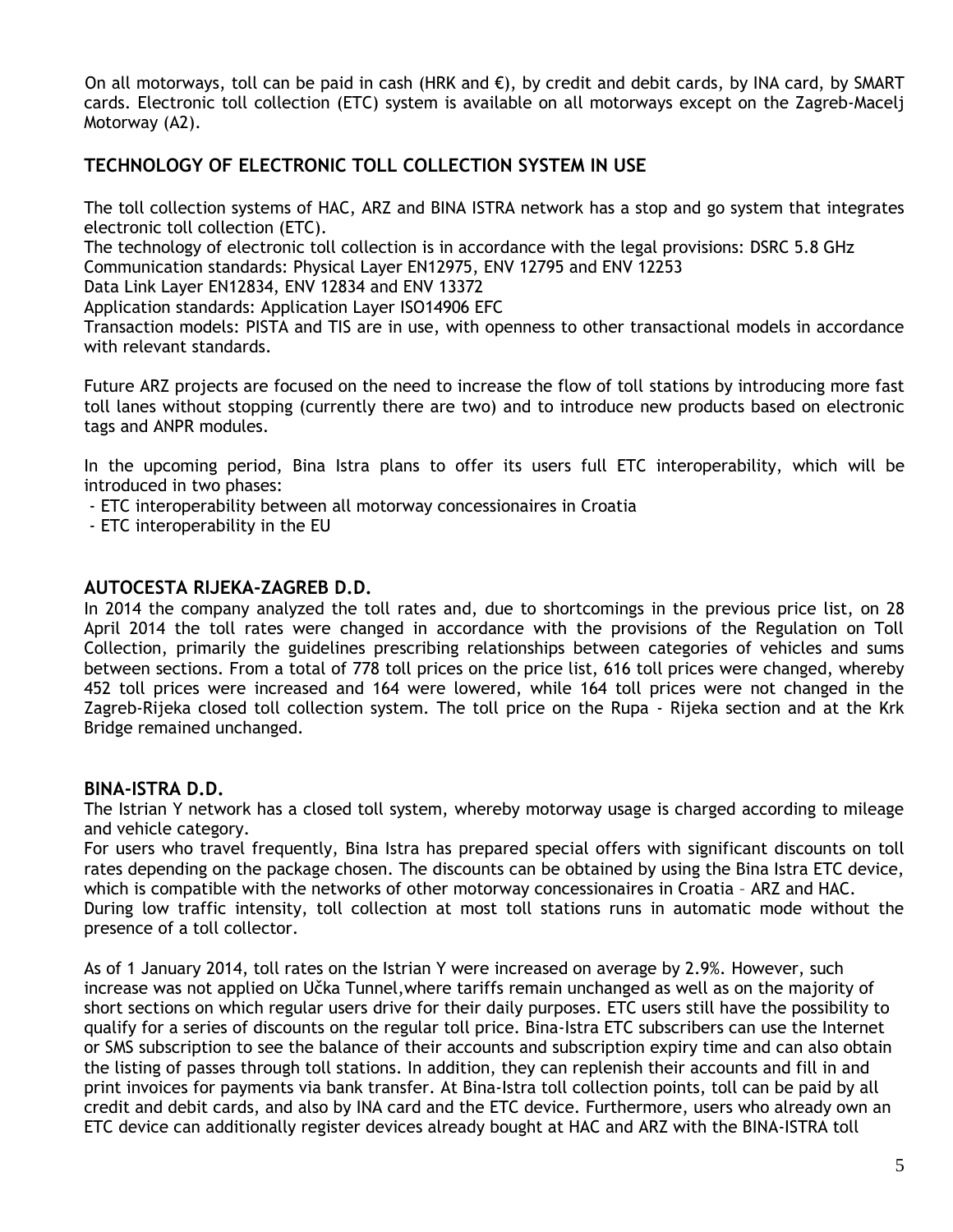On all motorways, toll can be paid in cash (HRK and  $\epsilon$ ), by credit and debit cards, by INA card, by SMART cards. Electronic toll collection (ETC) system is available on all motorways except on the Zagreb-Macelj Motorway (A2).

## **TECHNOLOGY OF ELECTRONIC TOLL COLLECTION SYSTEM IN USE**

The toll collection systems of HAC, ARZ and BINA ISTRA network has a stop and go system that integrates electronic toll collection (ETC).

The technology of electronic toll collection is in accordance with the legal provisions: DSRC 5.8 GHz Communication standards: Physical Layer EN12975, ENV 12795 and ENV 12253

Data Link Layer EN12834, ENV 12834 and ENV 13372

Application standards: Application Layer ISO14906 EFC

Transaction models: PISTA and TIS are in use, with openness to other transactional models in accordance with relevant standards.

Future ARZ projects are focused on the need to increase the flow of toll stations by introducing more fast toll lanes without stopping (currently there are two) and to introduce new products based on electronic tags and ANPR modules.

In the upcoming period, Bina Istra plans to offer its users full ETC interoperability, which will be introduced in two phases:

- ETC interoperability between all motorway concessionaires in Croatia
- ETC interoperability in the EU

### **AUTOCESTA RIJEKA-ZAGREB D.D.**

In 2014 the company analyzed the toll rates and, due to shortcomings in the previous price list, on 28 April 2014 the toll rates were changed in accordance with the provisions of the Regulation on Toll Collection, primarily the guidelines prescribing relationships between categories of vehicles and sums between sections. From a total of 778 toll prices on the price list, 616 toll prices were changed, whereby 452 toll prices were increased and 164 were lowered, while 164 toll prices were not changed in the Zagreb-Rijeka closed toll collection system. The toll price on the Rupa - Rijeka section and at the Krk Bridge remained unchanged.

### **BINA-ISTRA D.D.**

The Istrian Y network has a closed toll system, whereby motorway usage is charged according to mileage and vehicle category.

For users who travel frequently, Bina Istra has prepared special offers with significant discounts on toll rates depending on the package chosen. The discounts can be obtained by using the Bina Istra ETC device, which is compatible with the networks of other motorway concessionaires in Croatia – ARZ and HAC. During low traffic intensity, toll collection at most toll stations runs in automatic mode without the presence of a toll collector.

As of 1 January 2014, toll rates on the Istrian Y were increased on average by 2.9%. However, such increase was not applied on Učka Tunnel,where tariffs remain unchanged as well as on the majority of short sections on which regular users drive for their daily purposes. ETC users still have the possibility to qualify for a series of discounts on the regular toll price. Bina-Istra ETC subscribers can use the Internet or SMS subscription to see the balance of their accounts and subscription expiry time and can also obtain the listing of passes through toll stations. In addition, they can replenish their accounts and fill in and print invoices for payments via bank transfer. At Bina-Istra toll collection points, toll can be paid by all credit and debit cards, and also by INA card and the ETC device. Furthermore, users who already own an ETC device can additionally register devices already bought at HAC and ARZ with the BINA-ISTRA toll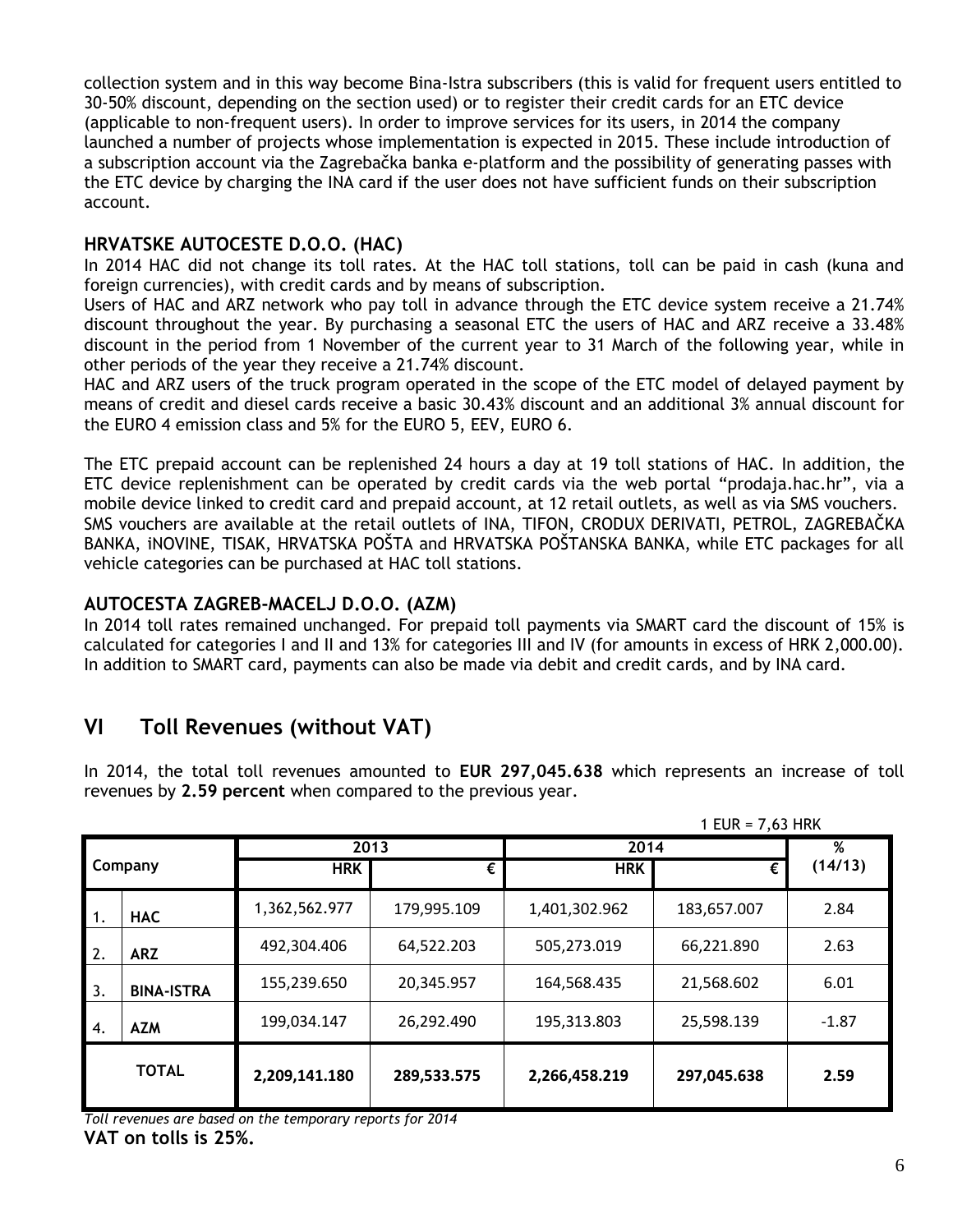collection system and in this way become Bina-Istra subscribers (this is valid for frequent users entitled to 30-50% discount, depending on the section used) or to register their credit cards for an ETC device (applicable to non-frequent users). In order to improve services for its users, in 2014 the company launched a number of projects whose implementation is expected in 2015. These include introduction of a subscription account via the Zagrebačka banka e-platform and the possibility of generating passes with the ETC device by charging the INA card if the user does not have sufficient funds on their subscription account.

### **HRVATSKE AUTOCESTE D.O.O. (HAC)**

In 2014 HAC did not change its toll rates. At the HAC toll stations, toll can be paid in cash (kuna and foreign currencies), with credit cards and by means of subscription.

Users of HAC and ARZ network who pay toll in advance through the ETC device system receive a 21.74% discount throughout the year. By purchasing a seasonal ETC the users of HAC and ARZ receive a 33.48% discount in the period from 1 November of the current year to 31 March of the following year, while in other periods of the year they receive a 21.74% discount.

HAC and ARZ users of the truck program operated in the scope of the ETC model of delayed payment by means of credit and diesel cards receive a basic 30.43% discount and an additional 3% annual discount for the EURO 4 emission class and 5% for the EURO 5, EEV, EURO 6.

The ETC prepaid account can be replenished 24 hours a day at 19 toll stations of HAC. In addition, the ETC device replenishment can be operated by credit cards via the web portal "prodaja.hac.hr", via a mobile device linked to credit card and prepaid account, at 12 retail outlets, as well as via SMS vouchers. SMS vouchers are available at the retail outlets of INA, TIFON, CRODUX DERIVATI, PETROL, ZAGREBAČKA BANKA, iNOVINE, TISAK, HRVATSKA POŠTA and HRVATSKA POŠTANSKA BANKA, while ETC packages for all vehicle categories can be purchased at HAC toll stations.

### **AUTOCESTA ZAGREB-MACELJ D.O.O. (AZM)**

In 2014 toll rates remained unchanged. For prepaid toll payments via SMART card the discount of 15% is calculated for categories I and II and 13% for categories III and IV (for amounts in excess of HRK 2,000.00). In addition to SMART card, payments can also be made via debit and credit cards, and by INA card.

## **VI Toll Revenues (without VAT)**

In 2014, the total toll revenues amounted to **EUR 297,045.638** which represents an increase of toll revenues by **2.59 percent** when compared to the previous year.

|                  |                   |               |             |               | 1 EUR = $7,63$ HRK |         |
|------------------|-------------------|---------------|-------------|---------------|--------------------|---------|
|                  |                   | 2013          |             | 2014          | %                  |         |
| Company          |                   | <b>HRK</b>    | €           | <b>HRK</b>    | €                  | (14/13) |
|                  | <b>HAC</b>        | 1,362,562.977 | 179,995.109 | 1,401,302.962 | 183,657.007        | 2.84    |
| $\overline{2}$ . | <b>ARZ</b>        | 492,304.406   | 64,522.203  | 505,273.019   | 66,221.890         | 2.63    |
| 3.               | <b>BINA-ISTRA</b> | 155,239.650   | 20,345.957  | 164,568.435   | 21,568.602         | 6.01    |
| $\overline{4}$ . | <b>AZM</b>        | 199,034.147   | 26,292.490  | 195,313.803   | 25,598.139         | $-1.87$ |
|                  | <b>TOTAL</b>      | 2,209,141.180 | 289,533.575 | 2,266,458.219 | 297,045.638        | 2.59    |

*Toll revenues are based on the temporary reports for 2014* **VAT on tolls is 25%.**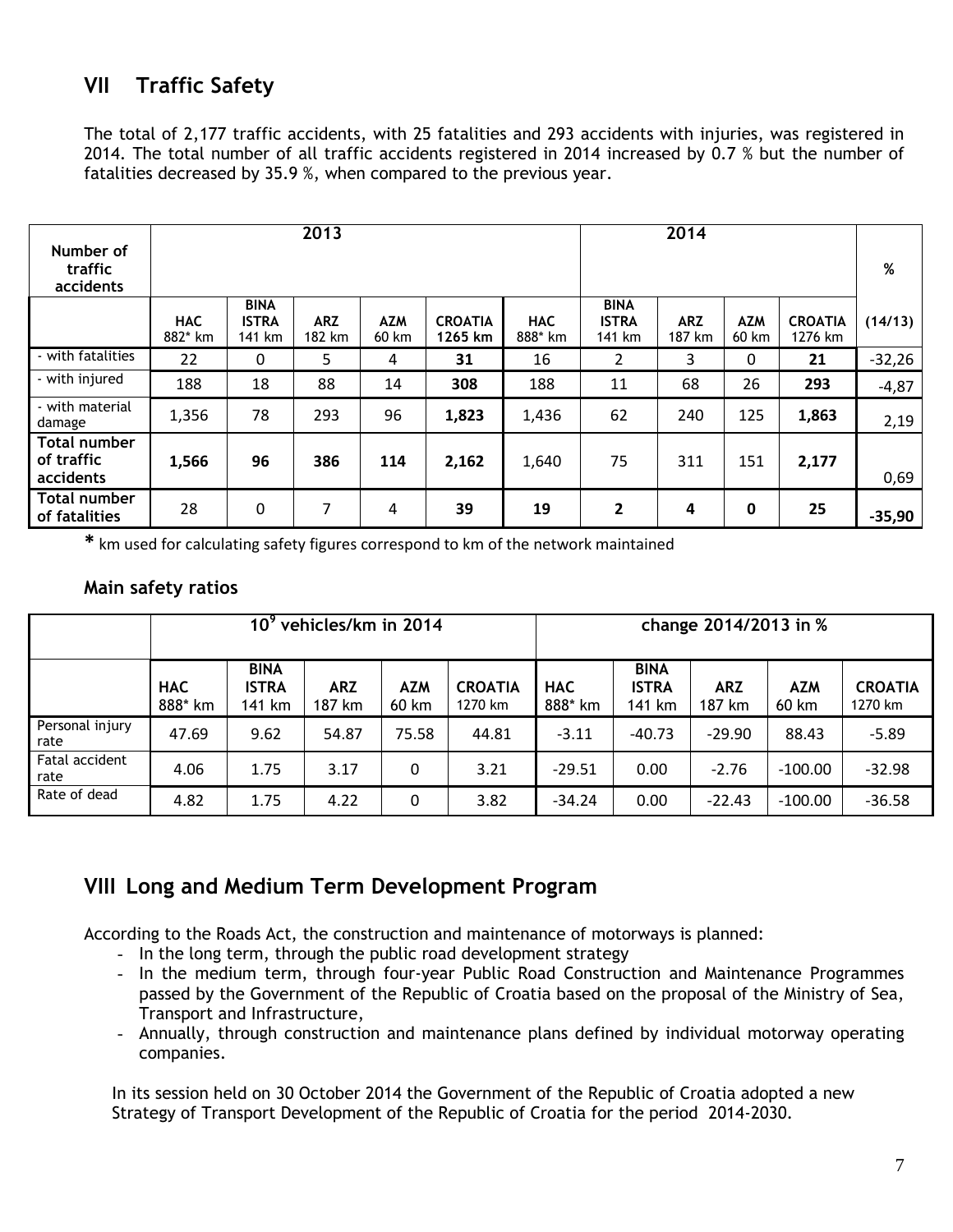## **VII Traffic Safety**

The total of 2,177 traffic accidents, with 25 fatalities and 293 accidents with injuries, was registered in 2014. The total number of all traffic accidents registered in 2014 increased by 0.7 % but the number of fatalities decreased by 35.9 %, when compared to the previous year.

| Number of<br>traffic<br>accidents       | 2013                  |                                       |                      |                     |                           |                       | 2014                                  |                      |              |                           | %        |
|-----------------------------------------|-----------------------|---------------------------------------|----------------------|---------------------|---------------------------|-----------------------|---------------------------------------|----------------------|--------------|---------------------------|----------|
|                                         | <b>HAC</b><br>882* km | <b>BINA</b><br><b>ISTRA</b><br>141 km | <b>ARZ</b><br>182 km | <b>AZM</b><br>60 km | <b>CROATIA</b><br>1265 km | <b>HAC</b><br>888* km | <b>BINA</b><br><b>ISTRA</b><br>141 km | <b>ARZ</b><br>187 km | AZM<br>60 km | <b>CROATIA</b><br>1276 km | (14/13)  |
| - with fatalities                       | 22                    | 0                                     | 5                    | 4                   | 31                        | 16                    | $\overline{2}$                        | 3                    | $\theta$     | 21                        | $-32,26$ |
| - with injured                          | 188                   | 18                                    | 88                   | 14                  | 308                       | 188                   | 11                                    | 68                   | 26           | 293                       | $-4,87$  |
| - with material<br>damage               | 1,356                 | 78                                    | 293                  | 96                  | 1,823                     | 1,436                 | 62                                    | 240                  | 125          | 1,863                     | 2,19     |
| Total number<br>of traffic<br>accidents | 1,566                 | 96                                    | 386                  | 114                 | 2,162                     | 1,640                 | 75                                    | 311                  | 151          | 2,177                     | 0,69     |
| Total number<br>of fatalities           | 28                    | 0                                     | 7                    | 4                   | 39                        | 19                    | $\overline{2}$                        | 4                    | $\mathbf{0}$ | 25                        | $-35,90$ |

**\*** km used for calculating safety figures correspond to km of the network maintained

#### **Main safety ratios**

|                         |                       | 10 <sup>9</sup>                       | vehicles/km in 2014  |                     |                           | change 2014/2013 in % |                                       |                      |                     |                           |  |
|-------------------------|-----------------------|---------------------------------------|----------------------|---------------------|---------------------------|-----------------------|---------------------------------------|----------------------|---------------------|---------------------------|--|
|                         | <b>HAC</b><br>888* km | <b>BINA</b><br><b>ISTRA</b><br>141 km | <b>ARZ</b><br>187 km | <b>AZM</b><br>60 km | <b>CROATIA</b><br>1270 km | <b>HAC</b><br>888* km | <b>BINA</b><br><b>ISTRA</b><br>141 km | <b>ARZ</b><br>187 km | <b>AZM</b><br>60 km | <b>CROATIA</b><br>1270 km |  |
| Personal injury<br>rate | 47.69                 | 9.62                                  | 54.87                | 75.58               | 44.81                     | $-3.11$               | $-40.73$                              | $-29.90$             | 88.43               | $-5.89$                   |  |
| Fatal accident<br>rate  | 4.06                  | 1.75                                  | 3.17                 | 0                   | 3.21                      | $-29.51$              | 0.00                                  | $-2.76$              | $-100.00$           | $-32.98$                  |  |
| Rate of dead            | 4.82                  | 1.75                                  | 4.22                 | 0                   | 3.82                      | $-34.24$              | 0.00                                  | $-22.43$             | $-100.00$           | $-36.58$                  |  |

## **VIII Long and Medium Term Development Program**

According to the Roads Act, the construction and maintenance of motorways is planned:

- In the long term, through the public road development strategy
- In the medium term, through four-year Public Road Construction and Maintenance Programmes passed by the Government of the Republic of Croatia based on the proposal of the Ministry of Sea, Transport and Infrastructure,
- Annually, through construction and maintenance plans defined by individual motorway operating companies.

In its session held on 30 October 2014 the Government of the Republic of Croatia adopted a new Strategy of Transport Development of the Republic of Croatia for the period 2014-2030.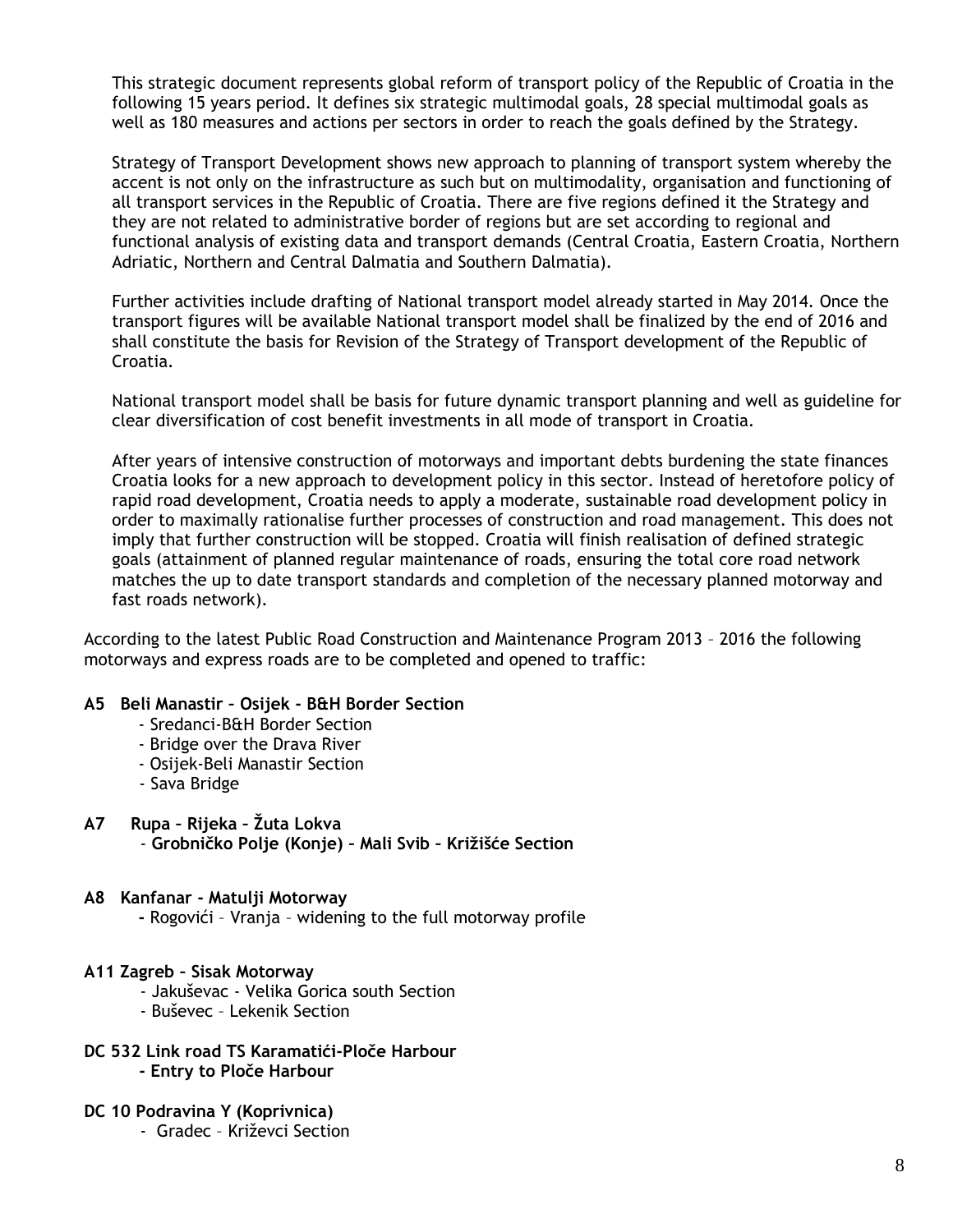This strategic document represents global reform of transport policy of the Republic of Croatia in the following 15 years period. It defines six strategic multimodal goals, 28 special multimodal goals as well as 180 measures and actions per sectors in order to reach the goals defined by the Strategy.

Strategy of Transport Development shows new approach to planning of transport system whereby the accent is not only on the infrastructure as such but on multimodality, organisation and functioning of all transport services in the Republic of Croatia. There are five regions defined it the Strategy and they are not related to administrative border of regions but are set according to regional and functional analysis of existing data and transport demands (Central Croatia, Eastern Croatia, Northern Adriatic, Northern and Central Dalmatia and Southern Dalmatia).

Further activities include drafting of National transport model already started in May 2014. Once the transport figures will be available National transport model shall be finalized by the end of 2016 and shall constitute the basis for Revision of the Strategy of Transport development of the Republic of Croatia.

National transport model shall be basis for future dynamic transport planning and well as guideline for clear diversification of cost benefit investments in all mode of transport in Croatia.

After years of intensive construction of motorways and important debts burdening the state finances Croatia looks for a new approach to development policy in this sector. Instead of heretofore policy of rapid road development, Croatia needs to apply a moderate, sustainable road development policy in order to maximally rationalise further processes of construction and road management. This does not imply that further construction will be stopped. Croatia will finish realisation of defined strategic goals (attainment of planned regular maintenance of roads, ensuring the total core road network matches the up to date transport standards and completion of the necessary planned motorway and fast roads network).

According to the latest Public Road Construction and Maintenance Program 2013 – 2016 the following motorways and express roads are to be completed and opened to traffic:

#### **A5 Beli Manastir – Osijek - B&H Border Section**

- Sredanci-B&H Border Section
- Bridge over the Drava River
- Osijek-Beli Manastir Section
- Sava Bridge

#### **A7 Rupa – Rijeka – Žuta Lokva**

- **Grobničko Polje (Konje) – Mali Svib – Križišće Section**

#### **A8 Kanfanar - Matulji Motorway**

 **-** Rogovići – Vranja – widening to the full motorway profile

#### **A11 Zagreb – Sisak Motorway**

- Jakuševac Velika Gorica south Section
- Buševec Lekenik Section
- **DC 532 Link road TS Karamatići-Ploče Harbour** 
	- **- Entry to Ploče Harbour**

#### **DC 10 Podravina Y (Koprivnica)**

- Gradec – Križevci Section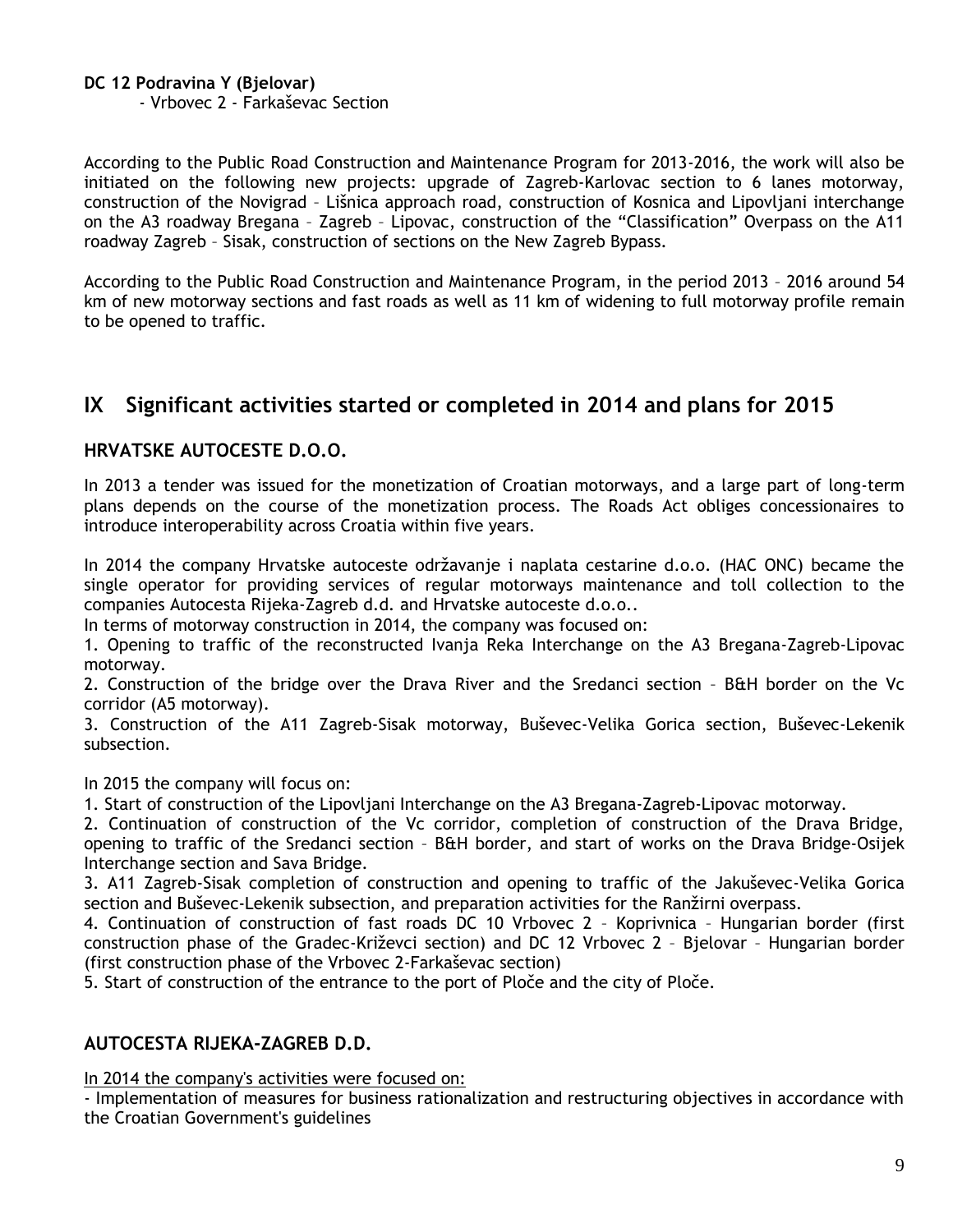**DC 12 Podravina Y (Bjelovar)**

- Vrbovec 2 - Farkaševac Section

According to the Public Road Construction and Maintenance Program for 2013-2016, the work will also be initiated on the following new projects: upgrade of Zagreb-Karlovac section to 6 lanes motorway, construction of the Novigrad – Lišnica approach road, construction of Kosnica and Lipovljani interchange on the A3 roadway Bregana – Zagreb – Lipovac, construction of the "Classification" Overpass on the A11 roadway Zagreb – Sisak, construction of sections on the New Zagreb Bypass.

According to the Public Road Construction and Maintenance Program, in the period 2013 – 2016 around 54 km of new motorway sections and fast roads as well as 11 km of widening to full motorway profile remain to be opened to traffic.

## **IX Significant activities started or completed in 2014 and plans for 2015**

### **HRVATSKE AUTOCESTE D.O.O.**

In 2013 a tender was issued for the monetization of Croatian motorways, and a large part of long-term plans depends on the course of the monetization process. The Roads Act obliges concessionaires to introduce interoperability across Croatia within five years.

In 2014 the company Hrvatske autoceste održavanje i naplata cestarine d.o.o. (HAC ONC) became the single operator for providing services of regular motorways maintenance and toll collection to the companies Autocesta Rijeka-Zagreb d.d. and Hrvatske autoceste d.o.o..

In terms of motorway construction in 2014, the company was focused on:

1. Opening to traffic of the reconstructed Ivanja Reka Interchange on the A3 Bregana-Zagreb-Lipovac motorway.

2. Construction of the bridge over the Drava River and the Sredanci section – B&H border on the Vc corridor (A5 motorway).

3. Construction of the A11 Zagreb-Sisak motorway, Buševec-Velika Gorica section, Buševec-Lekenik subsection.

In 2015 the company will focus on:

1. Start of construction of the Lipovljani Interchange on the A3 Bregana-Zagreb-Lipovac motorway.

2. Continuation of construction of the Vc corridor, completion of construction of the Drava Bridge, opening to traffic of the Sredanci section – B&H border, and start of works on the Drava Bridge-Osijek Interchange section and Sava Bridge.

3. A11 Zagreb-Sisak completion of construction and opening to traffic of the Jakuševec-Velika Gorica section and Buševec-Lekenik subsection, and preparation activities for the Ranžirni overpass.

4. Continuation of construction of fast roads DC 10 Vrbovec 2 – Koprivnica – Hungarian border (first construction phase of the Gradec-Križevci section) and DC 12 Vrbovec 2 – Bjelovar – Hungarian border (first construction phase of the Vrbovec 2-Farkaševac section)

5. Start of construction of the entrance to the port of Ploče and the city of Ploče.

### **AUTOCESTA RIJEKA-ZAGREB D.D.**

In 2014 the company's activities were focused on:

- Implementation of measures for business rationalization and restructuring objectives in accordance with the Croatian Government's guidelines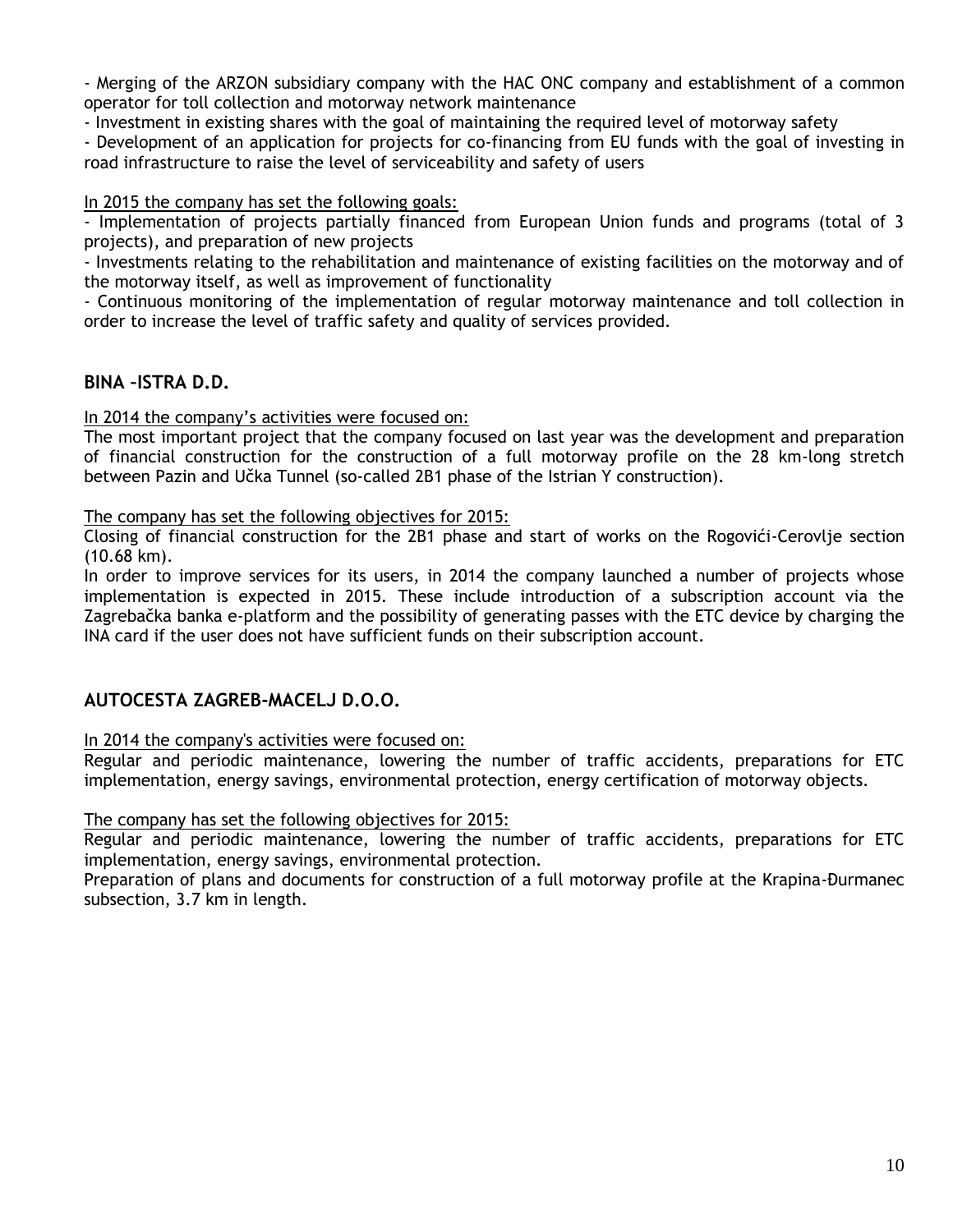- Merging of the ARZON subsidiary company with the HAC ONC company and establishment of a common operator for toll collection and motorway network maintenance

- Investment in existing shares with the goal of maintaining the required level of motorway safety

- Development of an application for projects for co-financing from EU funds with the goal of investing in road infrastructure to raise the level of serviceability and safety of users

#### In 2015 the company has set the following goals:

- Implementation of projects partially financed from European Union funds and programs (total of 3 projects), and preparation of new projects

- Investments relating to the rehabilitation and maintenance of existing facilities on the motorway and of the motorway itself, as well as improvement of functionality

- Continuous monitoring of the implementation of regular motorway maintenance and toll collection in order to increase the level of traffic safety and quality of services provided.

### **BINA –ISTRA D.D.**

In 2014 the company's activities were focused on:

The most important project that the company focused on last year was the development and preparation of financial construction for the construction of a full motorway profile on the 28 km-long stretch between Pazin and Učka Tunnel (so-called 2B1 phase of the Istrian Y construction).

The company has set the following objectives for 2015:

Closing of financial construction for the 2B1 phase and start of works on the Rogovići-Cerovlje section (10.68 km).

In order to improve services for its users, in 2014 the company launched a number of projects whose implementation is expected in 2015. These include introduction of a subscription account via the Zagrebačka banka e-platform and the possibility of generating passes with the ETC device by charging the INA card if the user does not have sufficient funds on their subscription account.

### **AUTOCESTA ZAGREB-MACELJ D.O.O.**

#### In 2014 the company's activities were focused on:

Regular and periodic maintenance, lowering the number of traffic accidents, preparations for ETC implementation, energy savings, environmental protection, energy certification of motorway objects.

#### The company has set the following objectives for 2015:

Regular and periodic maintenance, lowering the number of traffic accidents, preparations for ETC implementation, energy savings, environmental protection.

Preparation of plans and documents for construction of a full motorway profile at the Krapina-Đurmanec subsection, 3.7 km in length.